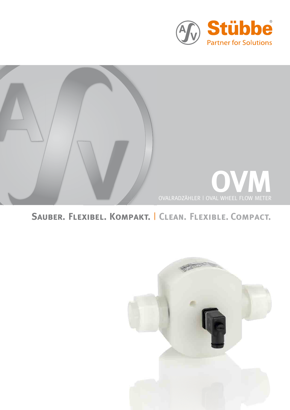



## **Sauber. Flexibel. Kompakt.** | **Clean. Flexible. Compact.**

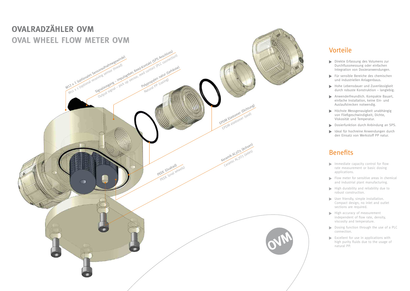### Vorteile

- Direkte Erfassung des Volumens zur Durchflussmessung oder einfachen Integration von Dosieranwendungen.
- Für sensible Bereiche des chemischen und industriellen Anlagenbaus.
- Hohe Lebensdauer und Zuverlässigkeit durch robuste Konstruktion – langlebig.
- Anwenderfreundlich. Kompakte Bauart, einfache Installation, keine Ein- und Auslaufstrecken notwendig.
- Höchste Messgenauigkeit unabhängig von Fließgeschwindigkeit, Dichte, Viskosität und Temperatur.
- Dosierfunktion durch Anbindung an SPS.
- Ideal für hochreine Anwendungen durch den Einsatz von Werkstoff PP natur.

#### **Benefits**

- $\blacktriangleright$  Immediate capacity control for flow rate measurement or basic dosing applications.
- $\blacktriangleright$  Flow meter for sensitive areas in chemical and industrial plant manufacturing.
- $\blacktriangleright$  High durability and reliability due to robust construction.
- User friendly, simple installation. Compact design, no inlet and outlet sections are required.
- High accuracy of measurement independent of flow rate, density, viscosity and temperature.
- Dosing function through the use of a PLC connection.
- Excellent for use in applications with high purity fluids due to the usage of natural PP.

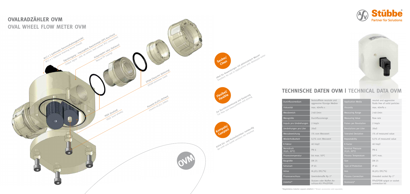



| Durchflussmedium                      | feststofffreie neutrale und<br>aggressive flüssige Medien | <b>Application Media</b>                        | neutral and aggressive<br>fluids free of solid particles |
|---------------------------------------|-----------------------------------------------------------|-------------------------------------------------|----------------------------------------------------------|
| Viskosität                            | max. 40mPa s                                              | Viscosity                                       | max. 40mPa s                                             |
| Messbereich                           | 2-60 l/min                                                | <b>Measuring Range</b>                          | 2-60 l/min                                               |
| Messgröße                             | Durchflussmenge                                           | Measuring Value                                 | flow rate                                                |
| Impuls pro Umdrehungen                | $2$ lmp/n                                                 | Pulses per Revolution                           | $2$ lmp/n                                                |
| Umdrehungen pro Liter                 | 20n/l                                                     | Revolutions per Liter                           | 20n/l                                                    |
| Messabweichung                        | 1% vom Messwert                                           | <b>Tolerated Deviation</b>                      | 1% of measured value                                     |
| Wiederholbarkeit                      | 0,5% vom Messwert                                         | Repeatability                                   | 0,5% of measured value                                   |
| K-Faktor                              | 40 Imp/l                                                  | K-Factor                                        | 40 lmp/l                                                 |
| Nenndruck<br>(H <sub>2</sub> O, 20°C) | PN <sub>6</sub>                                           | <b>Nominal Pressure</b><br>$(H2O, 20^{\circ}C)$ | PN 6                                                     |
| Prozesstemperatur                     | bis max. $50^{\circ}$ C                                   | Process Temperature                             | $50^{\circ}$ C max.                                      |
| Baugröße                              | DN 25                                                     | <b>Size</b>                                     | <b>DN 25</b>                                             |
| Schutzart                             | IP 65                                                     | Type of Protection                              | IP 65                                                    |
| Achse                                 | AL203 (99,7%)                                             | <b>Axis</b>                                     | AL203 (99,7%)                                            |
| Prozessanschluss                      | Gewindemuffe Rp 1"                                        | <b>Process Connection</b>                       | threaded socket Rp 1"                                    |
| Zubehör*                              | Stutzen oder Muffen An-<br>schluss-Kit PPn/EPDM           | Accessory*                                      | PPn/EPDM spigot or socket<br>connection kit              |

# **TECHNISCHE DATEN OVM | TECHNICAL DATA OVM**

\*Abgebildetes Zubehör separat erhältlich | \*Shown accessories sold separately